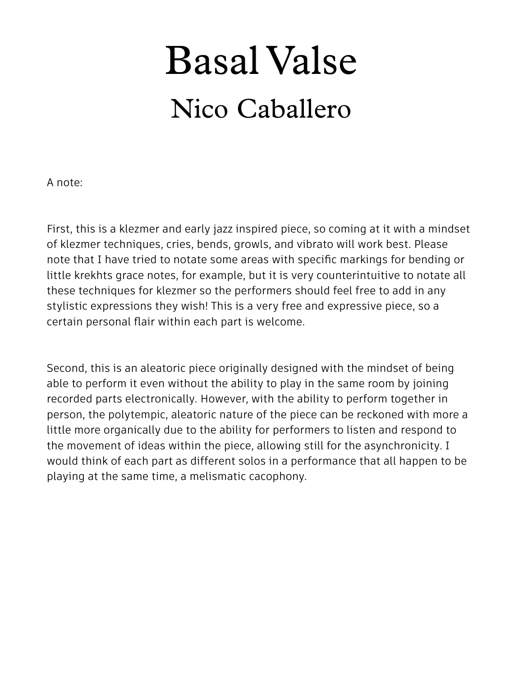## Basal Valse Nico Caballero

A note:

First, this is a klezmer and early jazz inspired piece, so coming at it with a mindset of klezmer techniques, cries, bends, growls, and vibrato will work best. Please note that I have tried to notate some areas with specific markings for bending or little krekhts grace notes, for example, but it is very counterintuitive to notate all these techniques for klezmer so the performers should feel free to add in any stylistic expressions they wish! This is a very free and expressive piece, so a certain personal flair within each part is welcome.

Second, this is an aleatoric piece originally designed with the mindset of being able to perform it even without the ability to play in the same room by joining recorded parts electronically. However, with the ability to perform together in person, the polytempic, aleatoric nature of the piece can be reckoned with more a little more organically due to the ability for performers to listen and respond to the movement of ideas within the piece, allowing still for the asynchronicity. I would think of each part as different solos in a performance that all happen to be playing at the same time, a melismatic cacophony.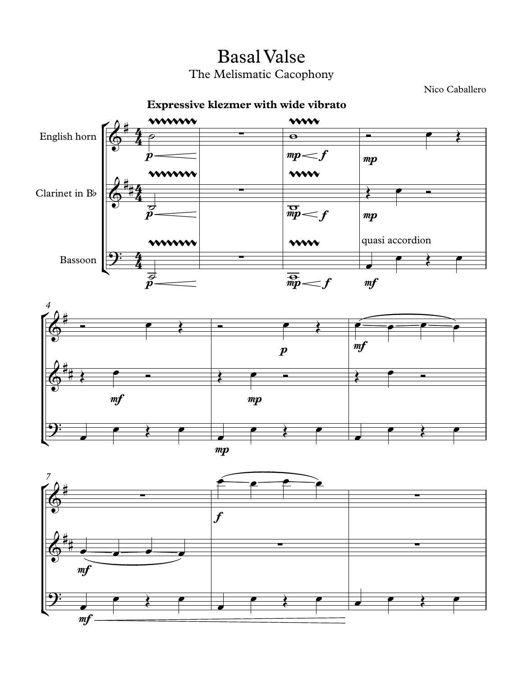Basal Valse The Melismatic Cacophony

Nico Caballero

**Expressive klezmer with wide vibrato**





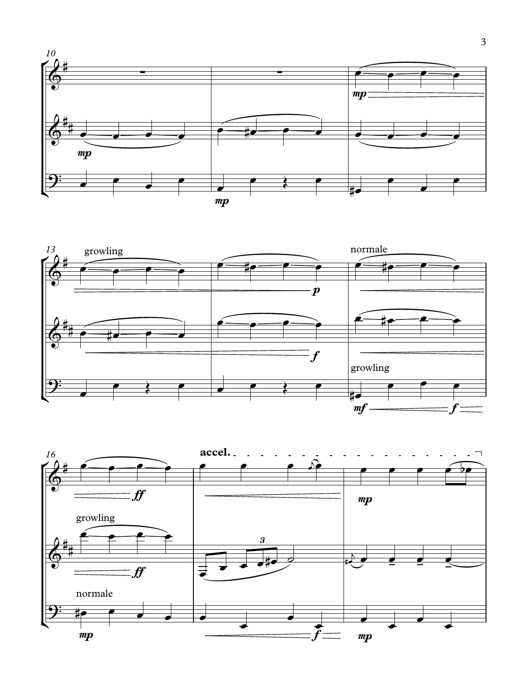



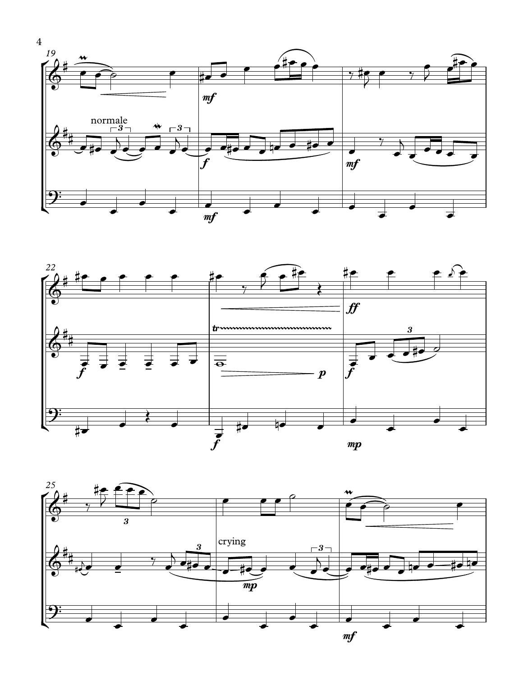





4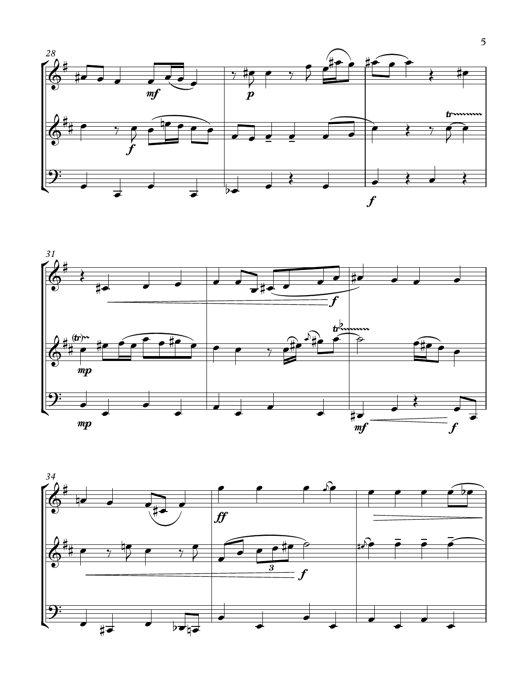



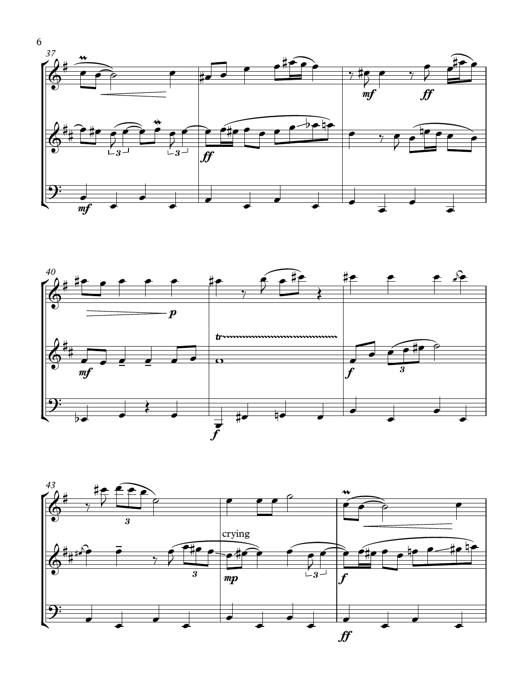





6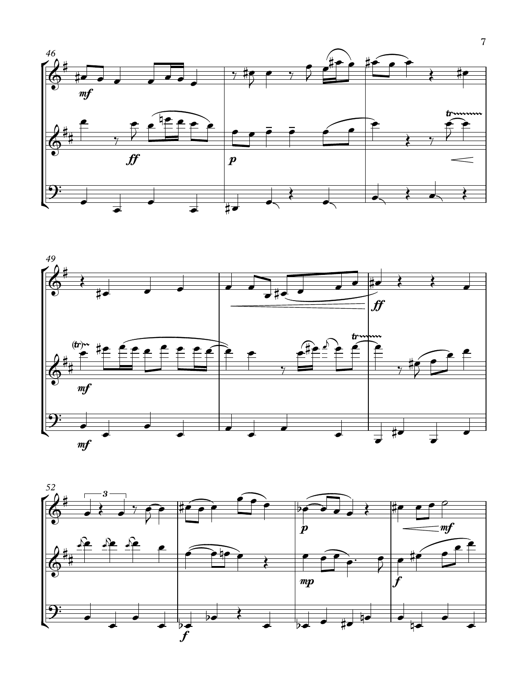



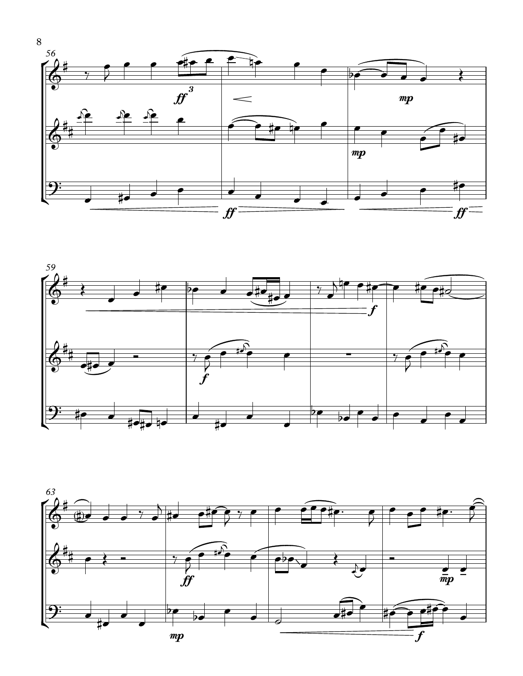